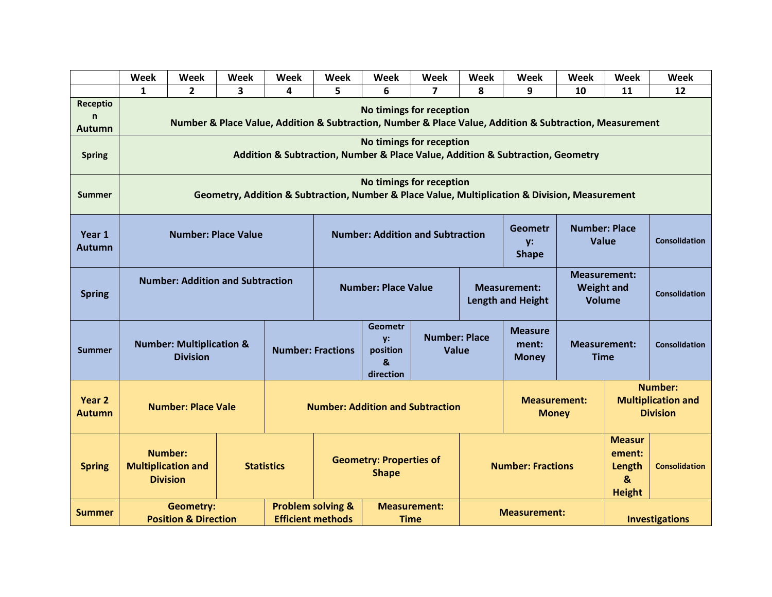|                                | Week                                                                                                                                | Week         | <b>Week</b>                                                                                                     | Week                                                                                           | <b>Week</b>                             | Week | Week                                    | <b>Week</b>                                                                                                  | Week                                                           | Week                                                                   | Week                 | Week |
|--------------------------------|-------------------------------------------------------------------------------------------------------------------------------------|--------------|-----------------------------------------------------------------------------------------------------------------|------------------------------------------------------------------------------------------------|-----------------------------------------|------|-----------------------------------------|--------------------------------------------------------------------------------------------------------------|----------------------------------------------------------------|------------------------------------------------------------------------|----------------------|------|
|                                | $\mathbf{1}$                                                                                                                        | $\mathbf{2}$ | 3                                                                                                               | 4                                                                                              | 5                                       | 6    | 7                                       | 8                                                                                                            | 9                                                              | 10                                                                     | 11                   | 12   |
| Receptio<br>n<br><b>Autumn</b> | No timings for reception<br>Number & Place Value, Addition & Subtraction, Number & Place Value, Addition & Subtraction, Measurement |              |                                                                                                                 |                                                                                                |                                         |      |                                         |                                                                                                              |                                                                |                                                                        |                      |      |
| <b>Spring</b>                  | No timings for reception<br>Addition & Subtraction, Number & Place Value, Addition & Subtraction, Geometry                          |              |                                                                                                                 |                                                                                                |                                         |      |                                         |                                                                                                              |                                                                |                                                                        |                      |      |
| <b>Summer</b>                  | No timings for reception<br>Geometry, Addition & Subtraction, Number & Place Value, Multiplication & Division, Measurement          |              |                                                                                                                 |                                                                                                |                                         |      |                                         |                                                                                                              |                                                                |                                                                        |                      |      |
| Year 1<br>Autumn               | <b>Number: Place Value</b>                                                                                                          |              |                                                                                                                 |                                                                                                | <b>Number: Addition and Subtraction</b> |      |                                         | <b>Geometr</b><br>y:<br><b>Shape</b>                                                                         | <b>Number: Place</b><br><b>Value</b>                           |                                                                        | <b>Consolidation</b> |      |
| <b>Spring</b>                  | <b>Number: Addition and Subtraction</b>                                                                                             |              |                                                                                                                 | <b>Number: Place Value</b>                                                                     |                                         |      |                                         | <b>Measurement:</b><br><b>Weight and</b><br><b>Measurement:</b><br><b>Length and Height</b><br><b>Volume</b> |                                                                |                                                                        | <b>Consolidation</b> |      |
| <b>Summer</b>                  | <b>Number: Multiplication &amp;</b><br><b>Division</b>                                                                              |              | <b>Geometr</b><br><b>Number: Place</b><br>y:<br><b>Number: Fractions</b><br>position<br>Value<br>&<br>direction |                                                                                                |                                         |      | <b>Measure</b><br>ment:<br><b>Money</b> |                                                                                                              | <b>Measurement:</b><br><b>Consolidation</b><br><b>Time</b>     |                                                                        |                      |      |
| Year 2<br>Autumn               | <b>Number: Place Vale</b>                                                                                                           |              |                                                                                                                 | <b>Number: Addition and Subtraction</b>                                                        |                                         |      | <b>Measurement:</b><br><b>Money</b>     |                                                                                                              | <b>Number:</b><br><b>Multiplication and</b><br><b>Division</b> |                                                                        |                      |      |
| <b>Spring</b>                  | <b>Number:</b><br><b>Statistics</b><br><b>Multiplication and</b><br><b>Division</b>                                                 |              |                                                                                                                 | <b>Geometry: Properties of</b><br><b>Shape</b>                                                 |                                         |      |                                         | <b>Number: Fractions</b>                                                                                     |                                                                | <b>Measur</b><br>ement:<br>Length<br>$\boldsymbol{8}$<br><b>Height</b> | <b>Consolidation</b> |      |
| <b>Summer</b>                  | <b>Geometry:</b><br><b>Position &amp; Direction</b>                                                                                 |              |                                                                                                                 | <b>Problem solving &amp;</b><br><b>Measurement:</b><br><b>Efficient methods</b><br><b>Time</b> |                                         |      | <b>Measurement:</b>                     |                                                                                                              |                                                                | <b>Investigations</b>                                                  |                      |      |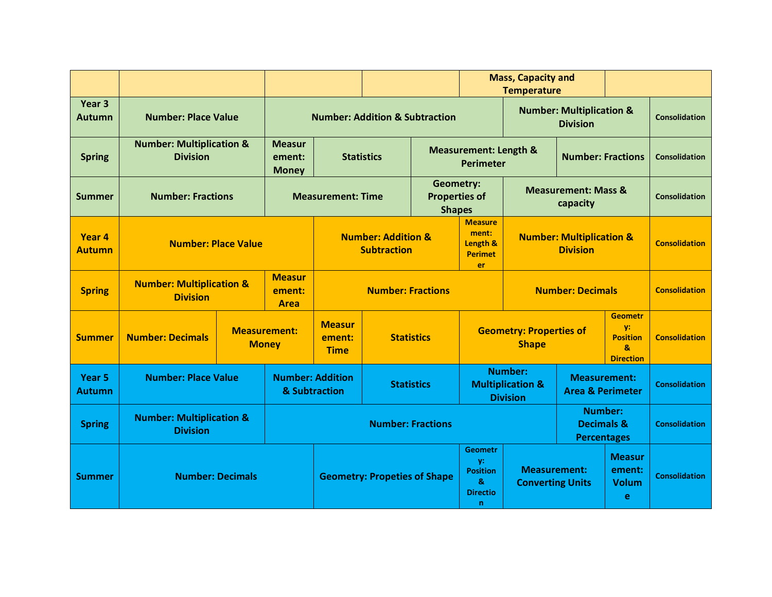|                                    |                                                                                           |                                           |                                                     |                                     |                                                           | <b>Mass, Capacity and</b><br><b>Temperature</b>             |                                                                                |                                                |                                                                  |                                                               |                      |
|------------------------------------|-------------------------------------------------------------------------------------------|-------------------------------------------|-----------------------------------------------------|-------------------------------------|-----------------------------------------------------------|-------------------------------------------------------------|--------------------------------------------------------------------------------|------------------------------------------------|------------------------------------------------------------------|---------------------------------------------------------------|----------------------|
| Year 3<br><b>Autumn</b>            | <b>Number: Place Value</b>                                                                | <b>Number: Addition &amp; Subtraction</b> |                                                     |                                     |                                                           | <b>Number: Multiplication &amp;</b><br><b>Division</b>      |                                                                                |                                                |                                                                  | <b>Consolidation</b>                                          |                      |
| <b>Spring</b>                      | <b>Number: Multiplication &amp;</b><br><b>Division</b>                                    | <b>Measur</b><br>ement:<br><b>Money</b>   | <b>Statistics</b>                                   |                                     | <b>Measurement: Length &amp;</b><br><b>Perimeter</b>      |                                                             |                                                                                | <b>Number: Fractions</b>                       |                                                                  | <b>Consolidation</b>                                          |                      |
| <b>Summer</b>                      | <b>Number: Fractions</b>                                                                  | <b>Measurement: Time</b>                  |                                                     |                                     | <b>Geometry:</b><br><b>Properties of</b><br><b>Shapes</b> |                                                             |                                                                                | <b>Measurement: Mass &amp;</b><br>capacity     |                                                                  | <b>Consolidation</b>                                          |                      |
| Year 4<br><b>Autumn</b>            | <b>Number: Place Value</b>                                                                |                                           | <b>Number: Addition &amp;</b><br><b>Subtraction</b> |                                     |                                                           | <b>Measure</b><br>ment:<br>Length &<br><b>Perimet</b><br>er | <b>Number: Multiplication &amp;</b><br><b>Division</b>                         |                                                |                                                                  | <b>Consolidation</b>                                          |                      |
| <b>Spring</b>                      | <b>Measur</b><br><b>Number: Multiplication &amp;</b><br>ement:<br><b>Division</b><br>Area |                                           |                                                     | <b>Number: Fractions</b>            |                                                           |                                                             |                                                                                | <b>Number: Decimals</b>                        |                                                                  |                                                               | <b>Consolidation</b> |
| <b>Summer</b>                      | <b>Measurement:</b><br><b>Number: Decimals</b><br><b>Money</b>                            |                                           | <b>Measur</b><br>ement:<br><b>Time</b>              | <b>Statistics</b>                   |                                                           |                                                             | <b>Geometry: Properties of</b><br><b>Shape</b>                                 |                                                | <b>Geometr</b><br>y:<br><b>Position</b><br>&<br><b>Direction</b> | <b>Consolidation</b>                                          |                      |
| Year <sub>5</sub><br><b>Autumn</b> | <b>Number: Place Value</b>                                                                |                                           | <b>Number: Addition</b><br>& Subtraction            |                                     | <b>Statistics</b>                                         |                                                             | <b>Number:</b><br><b>Multiplication &amp;</b><br><b>Division</b>               |                                                | <b>Measurement:</b><br><b>Area &amp; Perimeter</b>               |                                                               | <b>Consolidation</b> |
| <b>Spring</b>                      | <b>Number: Multiplication &amp;</b><br><b>Division</b>                                    |                                           |                                                     | <b>Number: Fractions</b>            |                                                           |                                                             |                                                                                |                                                |                                                                  | <b>Number:</b><br><b>Decimals &amp;</b><br><b>Percentages</b> | <b>Consolidation</b> |
| <b>Summer</b>                      | <b>Number: Decimals</b>                                                                   |                                           |                                                     | <b>Geometry: Propeties of Shape</b> |                                                           |                                                             | <b>Geometr</b><br>V.<br><b>Position</b><br>&<br><b>Directio</b><br>$\mathbf n$ | <b>Measurement:</b><br><b>Converting Units</b> |                                                                  | <b>Measur</b><br>ement:<br><b>Volum</b><br>e                  | <b>Consolidation</b> |